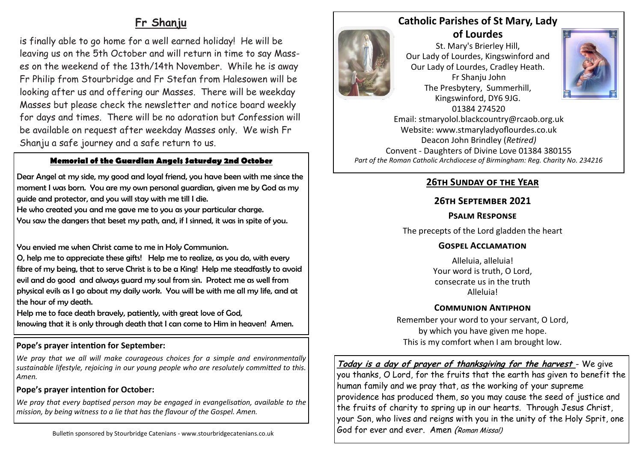# **Fr Shanju**

is finally able to go home for a well earned holiday! He will be leaving us on the 5th October and will return in time to say Masses on the weekend of the 13th/14th November. While he is away Fr Philip from Stourbridge and Fr Stefan from Halesowen will be looking after us and offering our Masses. There will be weekday Masses but please check the newsletter and notice board weekly for days and times. There will be no adoration but Confession will be available on request after weekday Masses only. We wish Fr Shanju a safe journey and a safe return to us.

#### **Memorial of the Guardian Angels Saturday 2nd October**

Dear Angel at my side, my good and loyal friend, you have been with me since the moment I was born. You are my own personal guardian, given me by God as my guide and protector, and you will stay with me till I die.

He who created you and me gave me to you as your particular charge. You saw the dangers that beset my path, and, if I sinned, it was in spite of you.

You envied me when Christ came to me in Holy Communion.

O, help me to appreciate these gifts! Help me to realize, as you do, with every fibre of my being, that to serve Christ is to be a King! Help me steadfastly to avoid evil and do good and always guard my soul from sin. Protect me as well from physical evils as I go about my daily work. You will be with me all my life, and at the hour of my death.

Help me to face death bravely, patiently, with great love of God, knowing that it is only through death that I can come to Him in heaven! Amen.

#### **Pope's prayer intention for September:**

*We pray that we all will make courageous choices for a simple and environmentally sustainable lifestyle, rejoicing in our young people who are resolutely committed to this. Amen.*

#### **Pope's prayer intention for October:**

*We pray that every baptised person may be engaged in evangelisation, available to the mission, by being witness to a lie that has the flavour of the Gospel. Amen.*



**of Lourdes**  St. Mary's Brierley Hill, Our Lady of Lourdes, Kingswinford and Our Lady of Lourdes, Cradley Heath. Fr Shanju John The Presbytery, Summerhill, Kingswinford, DY6 9JG. 01384 274520



Email: stmaryolol.blackcountry@rcaob.org.uk Website: www.stmaryladyoflourdes.co.uk Deacon John Brindley (*Retired)* Convent - Daughters of Divine Love 01384 380155 *Part of the Roman Catholic Archdiocese of Birmingham: Reg. Charity No. 234216*

## **26th Sunday of the Year**

## **26th September 2021**

#### **Psalm Response**

The precepts of the Lord gladden the heart

## **Gospel Acclamation**

Alleluia, alleluia! Your word is truth, O Lord, consecrate us in the truth Alleluia!

## **Communion Antiphon**

Remember your word to your servant, O Lord, by which you have given me hope. This is my comfort when I am brought low.

**Today is a day of prayer of thanksgiving for the harvest** - We give you thanks, O Lord, for the fruits that the earth has given to benefit the human family and we pray that, as the working of your supreme providence has produced them, so you may cause the seed of justice and the fruits of charity to spring up in our hearts. Through Jesus Christ, your Son, who lives and reigns with you in the unity of the Holy Sprit, one God for ever and ever. Amen (Roman Missal)